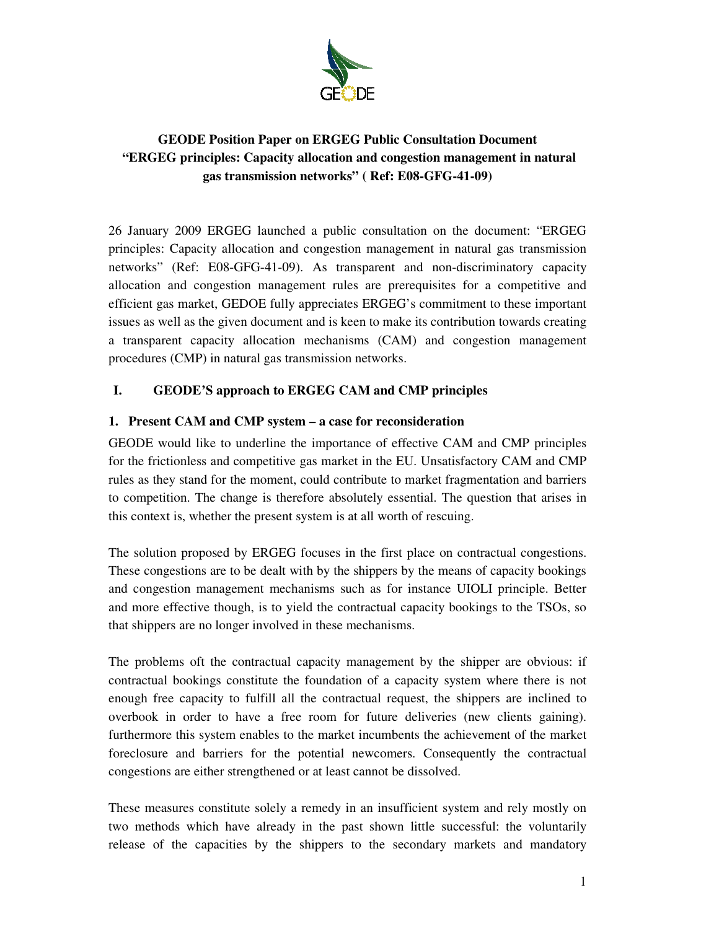

# **GEODE Position Paper on ERGEG Public Consultation Document "ERGEG principles: Capacity allocation and congestion management in natural gas transmission networks" ( Ref: E08-GFG-41-09)**

26 January 2009 ERGEG launched a public consultation on the document: "ERGEG principles: Capacity allocation and congestion management in natural gas transmission networks" (Ref: E08-GFG-41-09). As transparent and non-discriminatory capacity allocation and congestion management rules are prerequisites for a competitive and efficient gas market, GEDOE fully appreciates ERGEG's commitment to these important issues as well as the given document and is keen to make its contribution towards creating a transparent capacity allocation mechanisms (CAM) and congestion management procedures (CMP) in natural gas transmission networks.

# **I. GEODE'S approach to ERGEG CAM and CMP principles**

## **1. Present CAM and CMP system – a case for reconsideration**

GEODE would like to underline the importance of effective CAM and CMP principles for the frictionless and competitive gas market in the EU. Unsatisfactory CAM and CMP rules as they stand for the moment, could contribute to market fragmentation and barriers to competition. The change is therefore absolutely essential. The question that arises in this context is, whether the present system is at all worth of rescuing.

The solution proposed by ERGEG focuses in the first place on contractual congestions. These congestions are to be dealt with by the shippers by the means of capacity bookings and congestion management mechanisms such as for instance UIOLI principle. Better and more effective though, is to yield the contractual capacity bookings to the TSOs, so that shippers are no longer involved in these mechanisms.

The problems oft the contractual capacity management by the shipper are obvious: if contractual bookings constitute the foundation of a capacity system where there is not enough free capacity to fulfill all the contractual request, the shippers are inclined to overbook in order to have a free room for future deliveries (new clients gaining). furthermore this system enables to the market incumbents the achievement of the market foreclosure and barriers for the potential newcomers. Consequently the contractual congestions are either strengthened or at least cannot be dissolved.

These measures constitute solely a remedy in an insufficient system and rely mostly on two methods which have already in the past shown little successful: the voluntarily release of the capacities by the shippers to the secondary markets and mandatory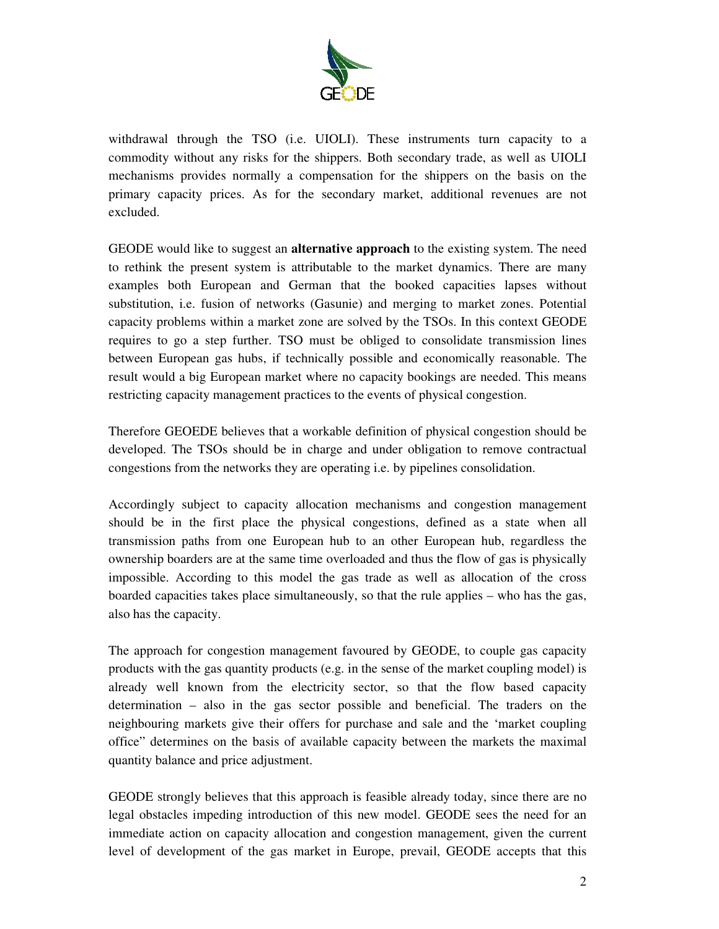

withdrawal through the TSO (i.e. UIOLI). These instruments turn capacity to a commodity without any risks for the shippers. Both secondary trade, as well as UIOLI mechanisms provides normally a compensation for the shippers on the basis on the primary capacity prices. As for the secondary market, additional revenues are not excluded.

GEODE would like to suggest an **alternative approach** to the existing system. The need to rethink the present system is attributable to the market dynamics. There are many examples both European and German that the booked capacities lapses without substitution, i.e. fusion of networks (Gasunie) and merging to market zones. Potential capacity problems within a market zone are solved by the TSOs. In this context GEODE requires to go a step further. TSO must be obliged to consolidate transmission lines between European gas hubs, if technically possible and economically reasonable. The result would a big European market where no capacity bookings are needed. This means restricting capacity management practices to the events of physical congestion.

Therefore GEOEDE believes that a workable definition of physical congestion should be developed. The TSOs should be in charge and under obligation to remove contractual congestions from the networks they are operating i.e. by pipelines consolidation.

Accordingly subject to capacity allocation mechanisms and congestion management should be in the first place the physical congestions, defined as a state when all transmission paths from one European hub to an other European hub, regardless the ownership boarders are at the same time overloaded and thus the flow of gas is physically impossible. According to this model the gas trade as well as allocation of the cross boarded capacities takes place simultaneously, so that the rule applies – who has the gas, also has the capacity.

The approach for congestion management favoured by GEODE, to couple gas capacity products with the gas quantity products (e.g. in the sense of the market coupling model) is already well known from the electricity sector, so that the flow based capacity determination – also in the gas sector possible and beneficial. The traders on the neighbouring markets give their offers for purchase and sale and the 'market coupling office" determines on the basis of available capacity between the markets the maximal quantity balance and price adjustment.

GEODE strongly believes that this approach is feasible already today, since there are no legal obstacles impeding introduction of this new model. GEODE sees the need for an immediate action on capacity allocation and congestion management, given the current level of development of the gas market in Europe, prevail, GEODE accepts that this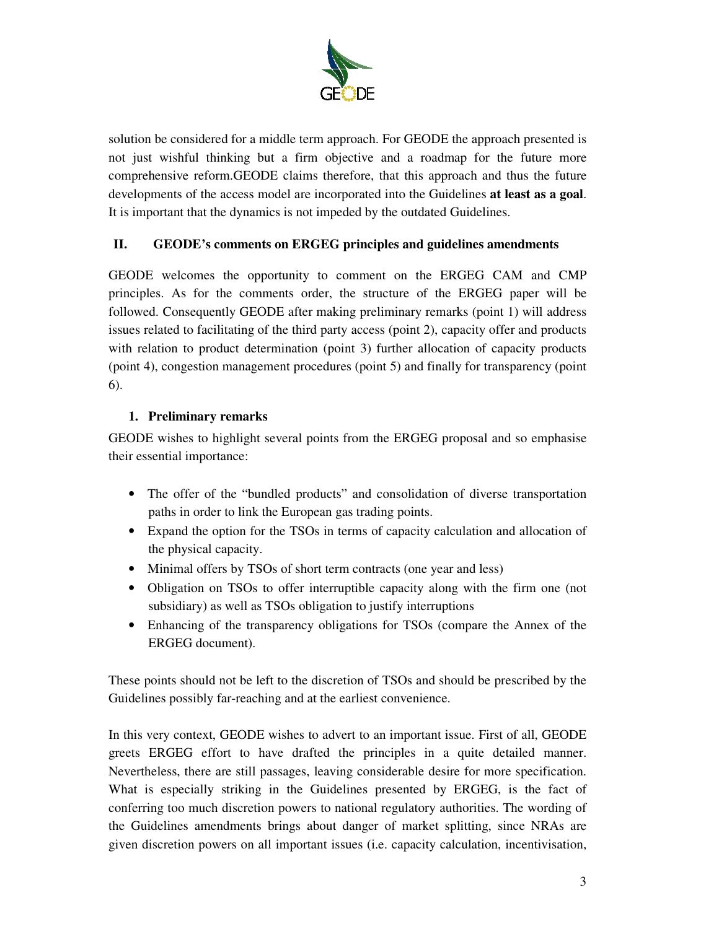

solution be considered for a middle term approach. For GEODE the approach presented is not just wishful thinking but a firm objective and a roadmap for the future more comprehensive reform.GEODE claims therefore, that this approach and thus the future developments of the access model are incorporated into the Guidelines **at least as a goal**. It is important that the dynamics is not impeded by the outdated Guidelines.

# **II. GEODE's comments on ERGEG principles and guidelines amendments**

GEODE welcomes the opportunity to comment on the ERGEG CAM and CMP principles. As for the comments order, the structure of the ERGEG paper will be followed. Consequently GEODE after making preliminary remarks (point 1) will address issues related to facilitating of the third party access (point 2), capacity offer and products with relation to product determination (point 3) further allocation of capacity products (point 4), congestion management procedures (point 5) and finally for transparency (point 6).

## **1. Preliminary remarks**

GEODE wishes to highlight several points from the ERGEG proposal and so emphasise their essential importance:

- The offer of the "bundled products" and consolidation of diverse transportation paths in order to link the European gas trading points.
- Expand the option for the TSOs in terms of capacity calculation and allocation of the physical capacity.
- Minimal offers by TSOs of short term contracts (one year and less)
- Obligation on TSOs to offer interruptible capacity along with the firm one (not subsidiary) as well as TSOs obligation to justify interruptions
- Enhancing of the transparency obligations for TSOs (compare the Annex of the ERGEG document).

These points should not be left to the discretion of TSOs and should be prescribed by the Guidelines possibly far-reaching and at the earliest convenience.

In this very context, GEODE wishes to advert to an important issue. First of all, GEODE greets ERGEG effort to have drafted the principles in a quite detailed manner. Nevertheless, there are still passages, leaving considerable desire for more specification. What is especially striking in the Guidelines presented by ERGEG, is the fact of conferring too much discretion powers to national regulatory authorities. The wording of the Guidelines amendments brings about danger of market splitting, since NRAs are given discretion powers on all important issues (i.e. capacity calculation, incentivisation,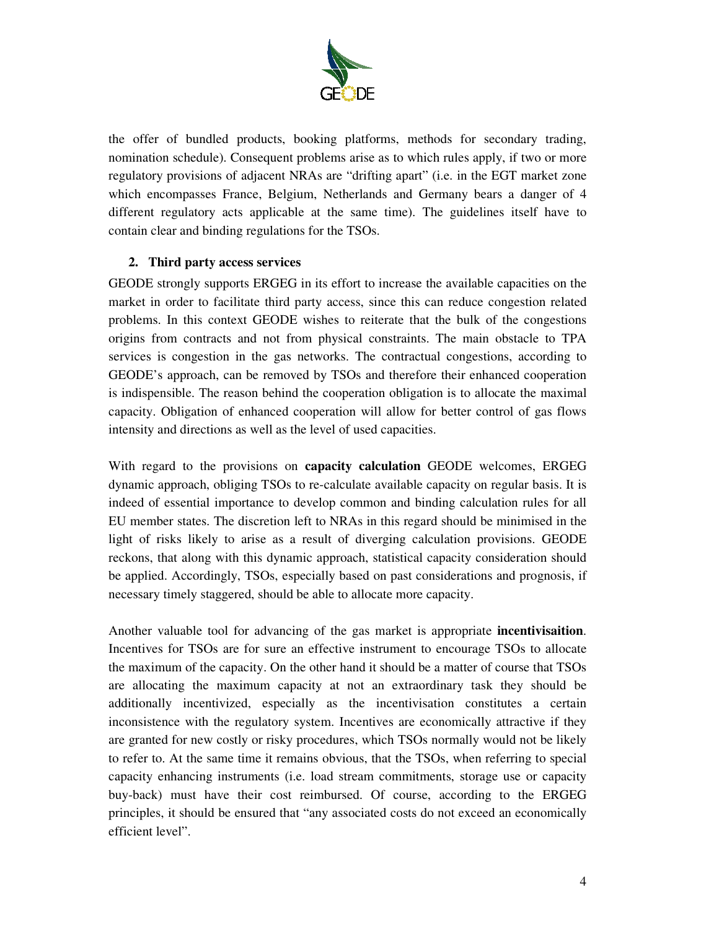

the offer of bundled products, booking platforms, methods for secondary trading, nomination schedule). Consequent problems arise as to which rules apply, if two or more regulatory provisions of adjacent NRAs are "drifting apart" (i.e. in the EGT market zone which encompasses France, Belgium, Netherlands and Germany bears a danger of 4 different regulatory acts applicable at the same time). The guidelines itself have to contain clear and binding regulations for the TSOs.

#### **2. Third party access services**

GEODE strongly supports ERGEG in its effort to increase the available capacities on the market in order to facilitate third party access, since this can reduce congestion related problems. In this context GEODE wishes to reiterate that the bulk of the congestions origins from contracts and not from physical constraints. The main obstacle to TPA services is congestion in the gas networks. The contractual congestions, according to GEODE's approach, can be removed by TSOs and therefore their enhanced cooperation is indispensible. The reason behind the cooperation obligation is to allocate the maximal capacity. Obligation of enhanced cooperation will allow for better control of gas flows intensity and directions as well as the level of used capacities.

With regard to the provisions on **capacity calculation** GEODE welcomes, ERGEG dynamic approach, obliging TSOs to re-calculate available capacity on regular basis. It is indeed of essential importance to develop common and binding calculation rules for all EU member states. The discretion left to NRAs in this regard should be minimised in the light of risks likely to arise as a result of diverging calculation provisions. GEODE reckons, that along with this dynamic approach, statistical capacity consideration should be applied. Accordingly, TSOs, especially based on past considerations and prognosis, if necessary timely staggered, should be able to allocate more capacity.

Another valuable tool for advancing of the gas market is appropriate **incentivisaition**. Incentives for TSOs are for sure an effective instrument to encourage TSOs to allocate the maximum of the capacity. On the other hand it should be a matter of course that TSOs are allocating the maximum capacity at not an extraordinary task they should be additionally incentivized, especially as the incentivisation constitutes a certain inconsistence with the regulatory system. Incentives are economically attractive if they are granted for new costly or risky procedures, which TSOs normally would not be likely to refer to. At the same time it remains obvious, that the TSOs, when referring to special capacity enhancing instruments (i.e. load stream commitments, storage use or capacity buy-back) must have their cost reimbursed. Of course, according to the ERGEG principles, it should be ensured that "any associated costs do not exceed an economically efficient level".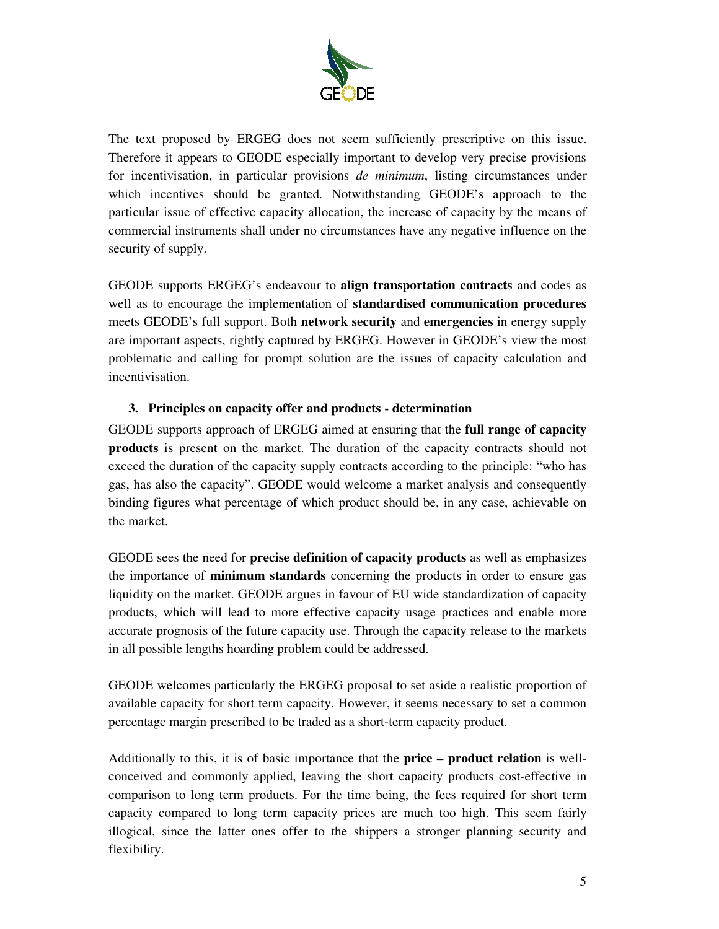

The text proposed by ERGEG does not seem sufficiently prescriptive on this issue. Therefore it appears to GEODE especially important to develop very precise provisions for incentivisation, in particular provisions *de minimum*, listing circumstances under which incentives should be granted. Notwithstanding GEODE's approach to the particular issue of effective capacity allocation, the increase of capacity by the means of commercial instruments shall under no circumstances have any negative influence on the security of supply.

GEODE supports ERGEG's endeavour to **align transportation contracts** and codes as well as to encourage the implementation of **standardised communication procedures** meets GEODE's full support. Both **network security** and **emergencies** in energy supply are important aspects, rightly captured by ERGEG. However in GEODE's view the most problematic and calling for prompt solution are the issues of capacity calculation and incentivisation.

## **3. Principles on capacity offer and products - determination**

GEODE supports approach of ERGEG aimed at ensuring that the **full range of capacity products** is present on the market. The duration of the capacity contracts should not exceed the duration of the capacity supply contracts according to the principle: "who has gas, has also the capacity". GEODE would welcome a market analysis and consequently binding figures what percentage of which product should be, in any case, achievable on the market.

GEODE sees the need for **precise definition of capacity products** as well as emphasizes the importance of **minimum standards** concerning the products in order to ensure gas liquidity on the market. GEODE argues in favour of EU wide standardization of capacity products, which will lead to more effective capacity usage practices and enable more accurate prognosis of the future capacity use. Through the capacity release to the markets in all possible lengths hoarding problem could be addressed.

GEODE welcomes particularly the ERGEG proposal to set aside a realistic proportion of available capacity for short term capacity. However, it seems necessary to set a common percentage margin prescribed to be traded as a short-term capacity product.

Additionally to this, it is of basic importance that the **price – product relation** is wellconceived and commonly applied, leaving the short capacity products cost-effective in comparison to long term products. For the time being, the fees required for short term capacity compared to long term capacity prices are much too high. This seem fairly illogical, since the latter ones offer to the shippers a stronger planning security and flexibility.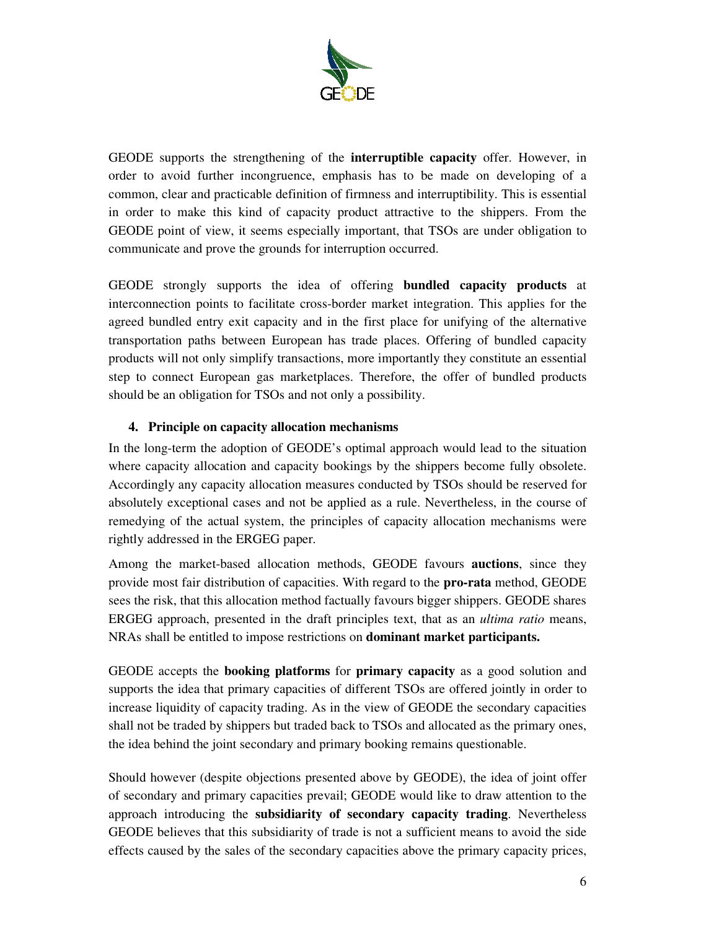

GEODE supports the strengthening of the **interruptible capacity** offer. However, in order to avoid further incongruence, emphasis has to be made on developing of a common, clear and practicable definition of firmness and interruptibility. This is essential in order to make this kind of capacity product attractive to the shippers. From the GEODE point of view, it seems especially important, that TSOs are under obligation to communicate and prove the grounds for interruption occurred.

GEODE strongly supports the idea of offering **bundled capacity products** at interconnection points to facilitate cross-border market integration. This applies for the agreed bundled entry exit capacity and in the first place for unifying of the alternative transportation paths between European has trade places. Offering of bundled capacity products will not only simplify transactions, more importantly they constitute an essential step to connect European gas marketplaces. Therefore, the offer of bundled products should be an obligation for TSOs and not only a possibility.

## **4. Principle on capacity allocation mechanisms**

In the long-term the adoption of GEODE's optimal approach would lead to the situation where capacity allocation and capacity bookings by the shippers become fully obsolete. Accordingly any capacity allocation measures conducted by TSOs should be reserved for absolutely exceptional cases and not be applied as a rule. Nevertheless, in the course of remedying of the actual system, the principles of capacity allocation mechanisms were rightly addressed in the ERGEG paper.

Among the market-based allocation methods, GEODE favours **auctions**, since they provide most fair distribution of capacities. With regard to the **pro-rata** method, GEODE sees the risk, that this allocation method factually favours bigger shippers. GEODE shares ERGEG approach, presented in the draft principles text, that as an *ultima ratio* means, NRAs shall be entitled to impose restrictions on **dominant market participants.**

GEODE accepts the **booking platforms** for **primary capacity** as a good solution and supports the idea that primary capacities of different TSOs are offered jointly in order to increase liquidity of capacity trading. As in the view of GEODE the secondary capacities shall not be traded by shippers but traded back to TSOs and allocated as the primary ones, the idea behind the joint secondary and primary booking remains questionable.

Should however (despite objections presented above by GEODE), the idea of joint offer of secondary and primary capacities prevail; GEODE would like to draw attention to the approach introducing the **subsidiarity of secondary capacity trading**. Nevertheless GEODE believes that this subsidiarity of trade is not a sufficient means to avoid the side effects caused by the sales of the secondary capacities above the primary capacity prices,